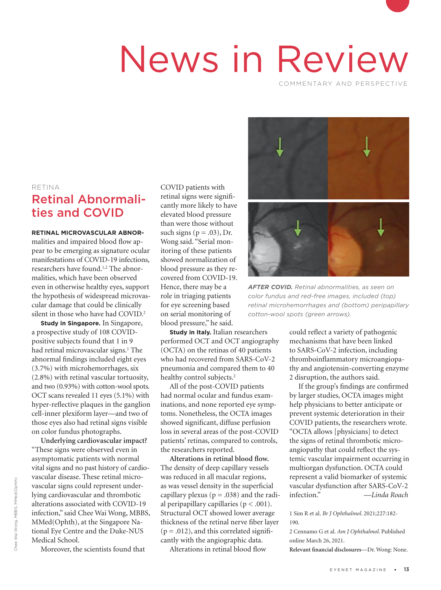# News in Review

COMMENTARY AND PERSPECTIVE

#### RETINA

# Retinal Abnormalities and COVID

**RETINAL MICROVASCULAR ABNOR-**

malities and impaired blood flow appear to be emerging as signature ocular manifestations of COVID-19 infections, researchers have found.<sup>1,2</sup> The abnormalities, which have been observed even in otherwise healthy eyes, support the hypothesis of widespread microvascular damage that could be clinically silent in those who have had COVID.<sup>2</sup>

**Study in Singapore.** In Singapore, a prospective study of 108 COVIDpositive subjects found that 1 in 9 had retinal microvascular signs.<sup>1</sup> The abnormal findings included eight eyes (3.7%) with microhemorrhages, six (2.8%) with retinal vascular tortuosity, and two (0.93%) with cotton-wool spots. OCT scans revealed 11 eyes (5.1%) with hyper-reflective plaques in the ganglion cell-inner plexiform layer—and two of those eyes also had retinal signs visible on color fundus photographs.

**Underlying cardiovascular impact?**  "These signs were observed even in asymptomatic patients with normal vital signs and no past history of cardiovascular disease. These retinal microvascular signs could represent underlying cardiovascular and thrombotic alterations associated with COVID-19 infection," said Chee Wai Wong, MBBS, MMed(Ophth), at the Singapore National Eye Centre and the Duke-NUS Medical School.

Moreover, the scientists found that

COVID patients with retinal signs were significantly more likely to have elevated blood pressure than were those without such signs ( $p = .03$ ), Dr. Wong said. "Serial monitoring of these patients showed normalization of blood pressure as they recovered from COVID-19. Hence, there may be a role in triaging patients for eye screening based on serial monitoring of blood pressure," he said.

**Study in Italy.** Italian researchers performed OCT and OCT angiography (OCTA) on the retinas of 40 patients who had recovered from SARS-CoV-2 pneumonia and compared them to 40 healthy control subjects.<sup>2</sup>

All of the post-COVID patients had normal ocular and fundus examinations, and none reported eye symptoms. Nonetheless, the OCTA images showed significant, diffuse perfusion loss in several areas of the post-COVID patients' retinas, compared to controls, the researchers reported.

**Alterations in retinal blood flow.** The density of deep capillary vessels was reduced in all macular regions, as was vessel density in the superficial capillary plexus ( $p = .038$ ) and the radial peripapillary capillaries ( $p < .001$ ). Structural OCT showed lower average thickness of the retinal nerve fiber layer  $(p = .012)$ , and this correlated significantly with the angiographic data.

Alterations in retinal blood flow



*AFTER COVID. Retinal abnormalities, as seen on color fundus and red-free images, included (top) retinal microhemorrhages and (bottom) peripapillary cotton-wool spots (green arrows).*

could reflect a variety of pathogenic mechanisms that have been linked to SARS-CoV-2 infection, including thromboinflammatory microangiopathy and angiotensin-converting enzyme 2 disruption, the authors said.

If the group's findings are confirmed by larger studies, OCTA images might help physicians to better anticipate or prevent systemic deterioration in their COVID patients, the researchers wrote. "OCTA allows [physicians] to detect the signs of retinal thrombotic microangiopathy that could reflect the systemic vascular impairment occurring in multiorgan dysfunction. OCTA could represent a valid biomarker of systemic vascular dysfunction after SARS-CoV-2 infection." *—Linda Roach*

1 Sim R et al. *Br J Ophthalmol.* 2021;227:182- 190.

2 Cennamo G et al. *Am J Ophthalmol.* Published online March 26, 2021.

**Relevant financial disclosures**—Dr. Wong: None.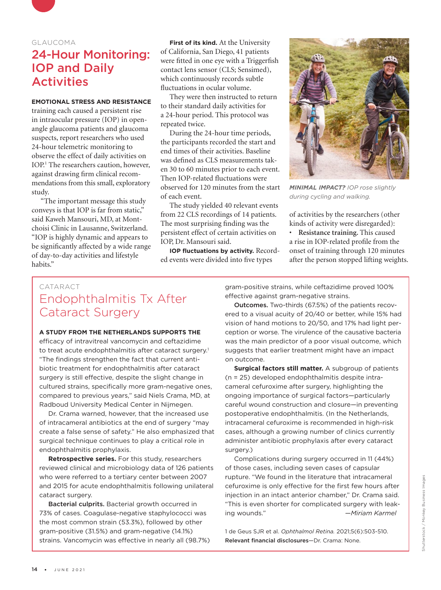

### GLAUCOMA

## 24-Hour Monitoring: IOP and Daily Activities

## **EMOTIONAL STRESS AND RESISTANCE**

training each caused a persistent rise in intraocular pressure (IOP) in openangle glaucoma patients and glaucoma suspects, report researchers who used 24-hour telemetric monitoring to observe the effect of daily activities on IOP.1 The researchers caution, however, against drawing firm clinical recommendations from this small, exploratory study.

"The important message this study conveys is that IOP is far from static," said Kaweh Mansouri, MD, at Montchoisi Clinic in Lausanne, Switzerland. "IOP is highly dynamic and appears to be significantly affected by a wide range of day-to-day activities and lifestyle habits."

**First of its kind.** At the University of California, San Diego, 41 patients were fitted in one eye with a Triggerfish contact lens sensor (CLS; Sensimed), which continuously records subtle fluctuations in ocular volume.

They were then instructed to return to their standard daily activities for a 24-hour period. This protocol was repeated twice.

During the 24-hour time periods, the participants recorded the start and end times of their activities. Baseline was defined as CLS measurements taken 30 to 60 minutes prior to each event. Then IOP-related fluctuations were observed for 120 minutes from the start of each event.

The study yielded 40 relevant events from 22 CLS recordings of 14 patients. The most surprising finding was the persistent effect of certain activities on IOP, Dr. Mansouri said.

**IOP fluctuations by activity.** Recorded events were divided into five types



*MINIMAL IMPACT? IOP rose slightly during cycling and walking.*

of activities by the researchers (other kinds of activity were disregarded):

• **Resistance training.** This caused a rise in IOP-related profile from the onset of training through 120 minutes after the person stopped lifting weights.

## CATARACT Endophthalmitis Tx After Cataract Surgery

#### **A STUDY FROM THE NETHERLANDS SUPPORTS THE**

efficacy of intravitreal vancomycin and ceftazidime to treat acute endophthalmitis after cataract surgery.<sup>1</sup> "The findings strengthen the fact that current antibiotic treatment for endophthalmitis after cataract surgery is still effective, despite the slight change in cultured strains, specifically more gram-negative ones, compared to previous years," said Niels Crama, MD, at Radboud University Medical Center in Nijmegen.

Dr. Crama warned, however, that the increased use of intracameral antibiotics at the end of surgery "may create a false sense of safety." He also emphasized that surgical technique continues to play a critical role in endophthalmitis prophylaxis.

**Retrospective series.** For this study, researchers reviewed clinical and microbiology data of 126 patients who were referred to a tertiary center between 2007 and 2015 for acute endophthalmitis following unilateral cataract surgery.

Bacterial culprits. Bacterial growth occurred in 73% of cases. Coagulase-negative staphylococci was the most common strain (53.3%), followed by other gram-positive (31.5%) and gram-negative (14.1%) strains. Vancomycin was effective in nearly all (98.7%) gram-positive strains, while ceftazidime proved 100% effective against gram-negative strains.

Outcomes. Two-thirds (67.5%) of the patients recovered to a visual acuity of 20/40 or better, while 15% had vision of hand motions to 20/50, and 17% had light perception or worse. The virulence of the causative bacteria was the main predictor of a poor visual outcome, which suggests that earlier treatment might have an impact on outcome.

**Surgical factors still matter.** A subgroup of patients (n = 25) developed endophthalmitis despite intracameral cefuroxime after surgery, highlighting the ongoing importance of surgical factors—particularly careful wound construction and closure—in preventing postoperative endophthalmitis. (In the Netherlands, intracameral cefuroxime is recommended in high-risk cases, although a growing number of clinics currently administer antibiotic prophylaxis after every cataract surgery.)

Complications during surgery occurred in 11 (44%) of those cases, including seven cases of capsular rupture. "We found in the literature that intracameral cefuroxime is only effective for the first few hours after injection in an intact anterior chamber," Dr. Crama said. "This is even shorter for complicated surgery with leaking wounds." *—Miriam Karmel*

1 de Geus SJR et al. *Ophthalmol Retina.* 2021;5(6):503-510. Relevant financial disclosures—Dr. Crama: None.